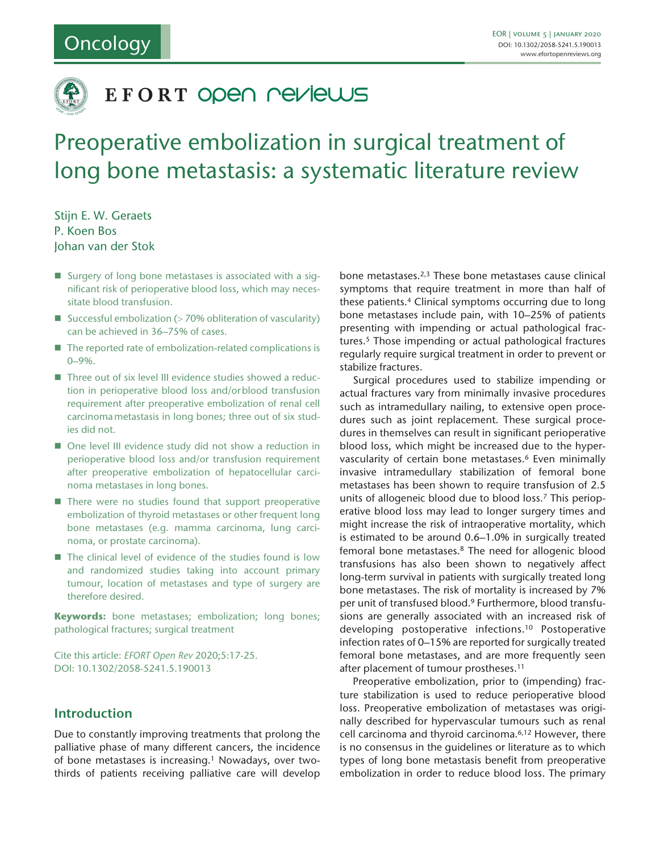

# EFORT OPEN NEVIEWS

# Preoperative embolization in surgical treatment of long bone metastasis: a systematic literature review

Stijn E. W. Geraets P. Koen Bos Johan van der Stok

- Surgery of long bone metastases is associated with a significant risk of perioperative blood loss, which may necessitate blood transfusion.
- Successful embolization ( $>$  70% obliteration of vascularity) can be achieved in 36–75% of cases.
- $\blacksquare$  The reported rate of embolization-related complications is 0–9%.
- Three out of six level III evidence studies showed a reduction in perioperative blood loss and/orblood transfusion requirement after preoperative embolization of renal cell carcinomametastasis in long bones; three out of six studies did not.
- One level III evidence study did not show a reduction in perioperative blood loss and/or transfusion requirement after preoperative embolization of hepatocellular carcinoma metastases in long bones.
- $\blacksquare$  There were no studies found that support preoperative embolization of thyroid metastases or other frequent long bone metastases (e.g. mamma carcinoma, lung carcinoma, or prostate carcinoma).
- The clinical level of evidence of the studies found is low and randomized studies taking into account primary tumour, location of metastases and type of surgery are therefore desired.

**Keywords:** bone metastases; embolization; long bones; pathological fractures; surgical treatment

Cite this article: *EFORT Open Rev* 2020;5:17-25. DOI: 10.1302/2058-5241.5.190013

## **Introduction**

Due to constantly improving treatments that prolong the palliative phase of many different cancers, the incidence of bone metastases is increasing.<sup>1</sup> Nowadays, over twothirds of patients receiving palliative care will develop bone metastases.2,3 These bone metastases cause clinical symptoms that require treatment in more than half of these patients.4 Clinical symptoms occurring due to long bone metastases include pain, with 10–25% of patients presenting with impending or actual pathological fractures.<sup>5</sup> Those impending or actual pathological fractures regularly require surgical treatment in order to prevent or stabilize fractures.

Surgical procedures used to stabilize impending or actual fractures vary from minimally invasive procedures such as intramedullary nailing, to extensive open procedures such as joint replacement. These surgical procedures in themselves can result in significant perioperative blood loss, which might be increased due to the hypervascularity of certain bone metastases.6 Even minimally invasive intramedullary stabilization of femoral bone metastases has been shown to require transfusion of 2.5 units of allogeneic blood due to blood loss.7 This perioperative blood loss may lead to longer surgery times and might increase the risk of intraoperative mortality, which is estimated to be around 0.6–1.0% in surgically treated femoral bone metastases.8 The need for allogenic blood transfusions has also been shown to negatively affect long-term survival in patients with surgically treated long bone metastases. The risk of mortality is increased by 7% per unit of transfused blood.9 Furthermore, blood transfusions are generally associated with an increased risk of developing postoperative infections.10 Postoperative infection rates of 0–15% are reported for surgically treated femoral bone metastases, and are more frequently seen after placement of tumour prostheses.11

Preoperative embolization, prior to (impending) fracture stabilization is used to reduce perioperative blood loss. Preoperative embolization of metastases was originally described for hypervascular tumours such as renal cell carcinoma and thyroid carcinoma.6,12 However, there is no consensus in the guidelines or literature as to which types of long bone metastasis benefit from preoperative embolization in order to reduce blood loss. The primary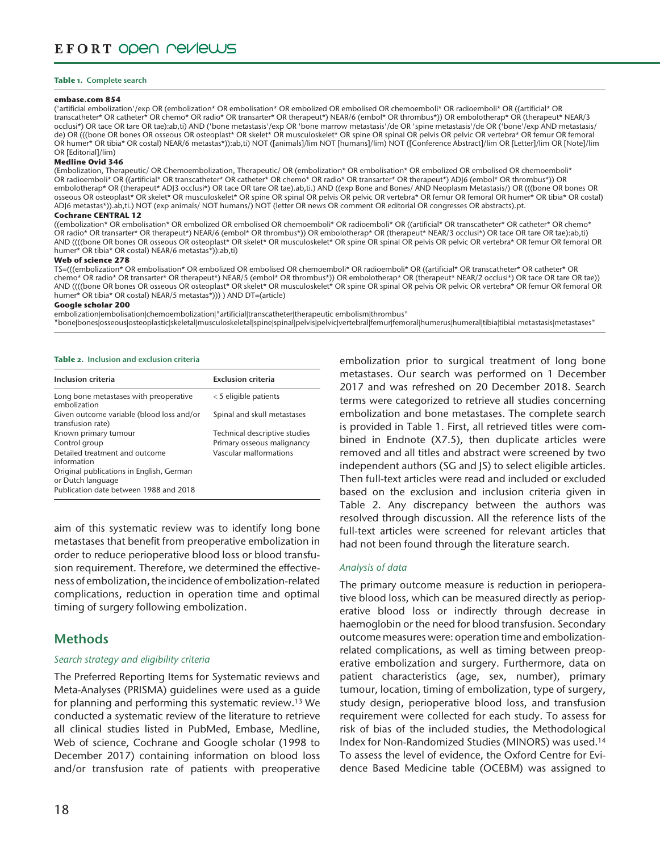#### **Table 1. Complete search**

#### **embase.com 854**

('artificial embolization'/exp OR (embolization\* OR embolisation\* OR embolized OR embolised OR chemoemboli\* OR radioemboli\* OR ((artificial\* OR transcatheter\* OR catheter\* OR chemo\* OR radio\* OR transarter\* OR therapeut\*) NEAR/6 (embol\* OR thrombus\*)) OR embolotherap\* OR (therapeut\* NEAR/3 occlusi\*) OR tace OR tare OR tae):ab,ti) AND ('bone metastasis'/exp OR 'bone marrow metastasis'/de OR 'spine metastasis'/de OR ('bone'/exp AND metastasis/ de) OR (((bone OR bones OR osseous OR osteoplast\* OR skelet\* OR musculoskelet\* OR spine OR spinal OR pelvis OR pelvic OR vertebra\* OR femur OR femoral OR humer\* OR tibia\* OR costal) NEAR/6 metastas\*)):ab,ti) NOT ([animals]/lim NOT [humans]/lim) NOT ([Conference Abstract]/lim OR [Letter]/lim OR [Note]/lim OR [Editorial]/lim)

#### **Medline Ovid 346**

(Embolization, Therapeutic/ OR Chemoembolization, Therapeutic/ OR (embolization\* OR embolisation\* OR embolized OR embolised OR chemoemboli\* OR radioemboli\* OR ((artificial\* OR transcatheter\* OR catheter\* OR chemo\* OR radio\* OR transarter\* OR therapeut\*) ADJ6 (embol\* OR thrombus\*)) OR embolotherap\* OR (therapeut\* ADJ3 occlusi\*) OR tace OR tare OR tae).ab,ti.) AND ((exp Bone and Bones/ AND Neoplasm Metastasis/) OR (((bone OR bones OR osseous OR osteoplast\* OR skelet\* OR musculoskelet\* OR spine OR spinal OR pelvis OR pelvic OR vertebra\* OR femur OR femoral OR humer\* OR tibia\* OR costal) ADJ6 metastas\*)).ab,ti.) NOT (exp animals/ NOT humans/) NOT (letter OR news OR comment OR editorial OR congresses OR abstracts).pt.

#### **Cochrane CENTRAL 12**

((embolization\* OR embolisation\* OR embolized OR embolised OR chemoemboli\* OR radioemboli\* OR ((artificial\* OR transcatheter\* OR catheter\* OR chemo\* OR radio\* OR transarter\* OR therapeut\*) NEAR/6 (embol\* OR thrombus\*)) OR embolotherap\* OR (therapeut\* NEAR/3 occlusi\*) OR tace OR tare OR tae):ab,ti) AND ((((bone OR bones OR osseous OR osteoplast\* OR skelet\* OR musculoskelet\* OR spine OR spinal OR pelvis OR pelvic OR vertebra\* OR femur OR femoral OR humer\* OR tibia\* OR costal) NEAR/6 metastas\*)):ab,ti)

#### **Web of science 278**

TS=(((embolization\* OR embolisation\* OR embolized OR embolised OR chemoemboli\* OR radioemboli\* OR ((artificial\* OR transcatheter\* OR catheter\* OR chemo\* OR radio\* OR transarter\* OR therapeut\*) NEAR/5 (embol\* OR thrombus\*)) OR embolotherap\* OR (therapeut\* NEAR/2 occlusi\*) OR tace OR tare OR tae)) AND ((((bone OR bones OR osseous OR osteoplast\* OR skelet\* OR musculoskelet\* OR spine OR spinal OR pelvis OR pelvic OR vertebra\* OR femur OR femoral OR humer\* OR tibia\* OR costal) NEAR/5 metastas\*))) ) AND DT=(article)

#### **Google scholar 200**

embolization|embolisation|chemoembolization|"artificial|transcatheter|therapeutic embolism|thrombus"

"bone|bones|osseous|osteoplastic|skeletal|musculoskeletal|spine|spinal|pelvis|pelvic|vertebral|femur|femoral|humerus|humeral|tibia|tibial metastasis|metastases"

#### **Table 2. Inclusion and exclusion criteria**

| Inclusion criteria                                                                                      | <b>Exclusion criteria</b>                                                             |
|---------------------------------------------------------------------------------------------------------|---------------------------------------------------------------------------------------|
| Long bone metastases with preoperative<br>embolization                                                  | $<$ 5 eligible patients                                                               |
| Given outcome variable (blood loss and/or<br>transfusion rate)                                          | Spinal and skull metastases                                                           |
| Known primary tumour<br>Control group<br>Detailed treatment and outcome<br>information                  | Technical descriptive studies<br>Primary osseous malignancy<br>Vascular malformations |
| Original publications in English, German<br>or Dutch language<br>Publication date between 1988 and 2018 |                                                                                       |

aim of this systematic review was to identify long bone metastases that benefit from preoperative embolization in order to reduce perioperative blood loss or blood transfusion requirement. Therefore, we determined the effectiveness of embolization, the incidence of embolization-related complications, reduction in operation time and optimal timing of surgery following embolization.

## **Methods**

## *Search strategy and eligibility criteria*

The Preferred Reporting Items for Systematic reviews and Meta-Analyses (PRISMA) guidelines were used as a guide for planning and performing this systematic review.13 We conducted a systematic review of the literature to retrieve all clinical studies listed in PubMed, Embase, Medline, Web of science, Cochrane and Google scholar (1998 to December 2017) containing information on blood loss and/or transfusion rate of patients with preoperative

embolization prior to surgical treatment of long bone metastases. Our search was performed on 1 December 2017 and was refreshed on 20 December 2018. Search terms were categorized to retrieve all studies concerning embolization and bone metastases. The complete search is provided in Table 1. First, all retrieved titles were combined in Endnote (X7.5), then duplicate articles were removed and all titles and abstract were screened by two independent authors (SG and JS) to select eligible articles. Then full-text articles were read and included or excluded based on the exclusion and inclusion criteria given in Table 2. Any discrepancy between the authors was resolved through discussion. All the reference lists of the full-text articles were screened for relevant articles that had not been found through the literature search.

## *Analysis of data*

The primary outcome measure is reduction in perioperative blood loss, which can be measured directly as perioperative blood loss or indirectly through decrease in haemoglobin or the need for blood transfusion. Secondary outcome measures were: operation time and embolizationrelated complications, as well as timing between preoperative embolization and surgery. Furthermore, data on patient characteristics (age, sex, number), primary tumour, location, timing of embolization, type of surgery, study design, perioperative blood loss, and transfusion requirement were collected for each study. To assess for risk of bias of the included studies, the Methodological Index for Non-Randomized Studies (MINORS) was used.14 To assess the level of evidence, the Oxford Centre for Evidence Based Medicine table (OCEBM) was assigned to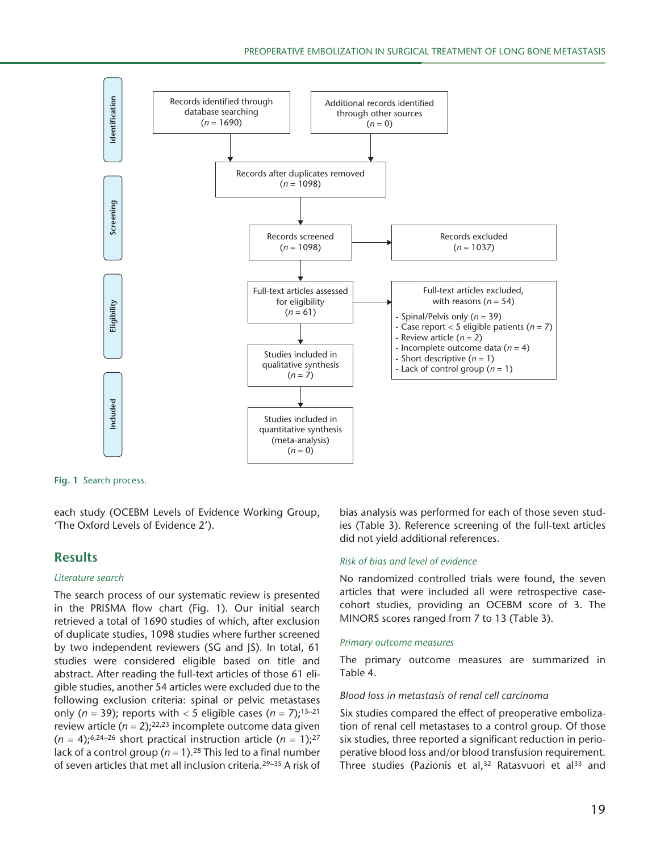

**Fig. 1** Search process.

each study (OCEBM Levels of Evidence Working Group, 'The Oxford Levels of Evidence 2').

## **Results**

#### *Literature search*

The search process of our systematic review is presented in the PRISMA flow chart (Fig. 1). Our initial search retrieved a total of 1690 studies of which, after exclusion of duplicate studies, 1098 studies where further screened by two independent reviewers (SG and JS). In total, 61 studies were considered eligible based on title and abstract. After reading the full-text articles of those 61 eligible studies, another 54 articles were excluded due to the following exclusion criteria: spinal or pelvic metastases only ( $n = 39$ ); reports with < 5 eligible cases ( $n = 7$ );<sup>15-21</sup> review article  $(n = 2)$ ;<sup>22,23</sup> incomplete outcome data given  $(n = 4)$ ;<sup>6,24-26</sup> short practical instruction article  $(n = 1)$ ;<sup>27</sup> lack of a control group ( $n = 1$ ).<sup>28</sup> This led to a final number of seven articles that met all inclusion criteria.29–35 A risk of

bias analysis was performed for each of those seven studies (Table 3). Reference screening of the full-text articles did not yield additional references.

## *Risk of bias and level of evidence*

No randomized controlled trials were found, the seven articles that were included all were retrospective casecohort studies, providing an OCEBM score of 3. The MINORS scores ranged from 7 to 13 (Table 3).

#### *Primary outcome measures*

The primary outcome measures are summarized in Table 4.

#### *Blood loss in metastasis of renal cell carcinoma*

Six studies compared the effect of preoperative embolization of renal cell metastases to a control group. Of those six studies, three reported a significant reduction in perioperative blood loss and/or blood transfusion requirement. Three studies (Pazionis et al,<sup>32</sup> Ratasvuori et al<sup>33</sup> and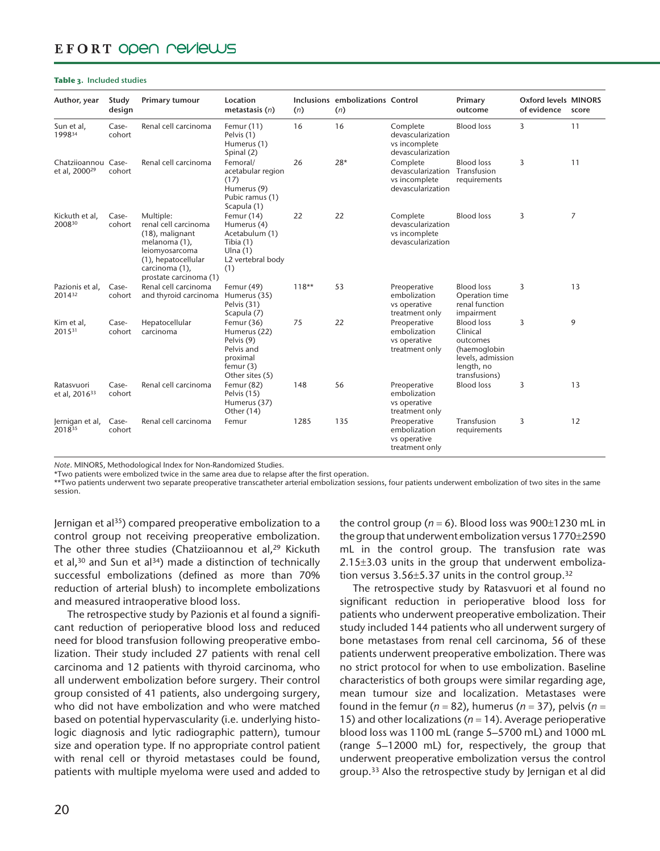# EFORT ODEN PEVIEWS

#### **Table 3. Included studies**

| Author, year                                     | Study<br>design | Primary tumour                                                                                                                                             | Location<br>metastasis $(n)$                                                                         | (n)     | Inclusions embolizations Control<br>(n) |                                                                     | Primary<br>outcome                                                                                            | <b>Oxford levels MINORS</b><br>of evidence | score          |
|--------------------------------------------------|-----------------|------------------------------------------------------------------------------------------------------------------------------------------------------------|------------------------------------------------------------------------------------------------------|---------|-----------------------------------------|---------------------------------------------------------------------|---------------------------------------------------------------------------------------------------------------|--------------------------------------------|----------------|
| Sun et al,<br>199834                             | Case-<br>cohort | Renal cell carcinoma                                                                                                                                       | Femur $(11)$<br>Pelvis (1)<br>Humerus (1)<br>Spinal (2)                                              | 16      | 16                                      | Complete<br>devascularization<br>vs incomplete<br>devascularization | <b>Blood loss</b>                                                                                             | 3                                          | 11             |
| Chatziioannou Case-<br>et al, 2000 <sup>29</sup> | cohort          | Renal cell carcinoma                                                                                                                                       | Femoral/<br>acetabular region<br>(17)<br>Humerus (9)<br>Pubic ramus (1)<br>Scapula (1)               | 26      | $28*$                                   | Complete<br>devascularization<br>vs incomplete<br>devascularization | <b>Blood loss</b><br>Transfusion<br>requirements                                                              | 3                                          | 11             |
| Kickuth et al,<br>200830                         | Case-<br>cohort | Multiple:<br>renal cell carcinoma<br>(18), malignant<br>melanoma (1),<br>leiomyosarcoma<br>(1), hepatocellular<br>carcinoma (1),<br>prostate carcinoma (1) | Femur (14)<br>Humerus (4)<br>Acetabulum (1)<br>Tibia (1)<br>Ulna $(1)$<br>L2 vertebral body<br>(1)   | 22      | 22                                      | Complete<br>devascularization<br>vs incomplete<br>devascularization | <b>Blood loss</b>                                                                                             | 3                                          | $\overline{7}$ |
| Pazionis et al,<br>201432                        | Case-<br>cohort | Renal cell carcinoma<br>and thyroid carcinoma                                                                                                              | Femur (49)<br>Humerus (35)<br>Pelvis (31)<br>Scapula (7)                                             | $118**$ | 53                                      | Preoperative<br>embolization<br>vs operative<br>treatment only      | <b>Blood loss</b><br>Operation time<br>renal function<br>impairment                                           | 3                                          | 13             |
| Kim et al,<br>201531                             | Case-<br>cohort | Hepatocellular<br>carcinoma                                                                                                                                | Femur (36)<br>Humerus (22)<br>Pelvis (9)<br>Pelvis and<br>proximal<br>femur $(3)$<br>Other sites (5) | 75      | 22                                      | Preoperative<br>embolization<br>vs operative<br>treatment only      | <b>Blood loss</b><br>Clinical<br>outcomes<br>(haemoglobin<br>levels, admission<br>length, no<br>transfusions) | 3                                          | 9              |
| Ratasvuori<br>et al, 2016 <sup>33</sup>          | Case-<br>cohort | Renal cell carcinoma                                                                                                                                       | Femur (82)<br>Pelvis (15)<br>Humerus (37)<br>Other (14)                                              | 148     | 56                                      | Preoperative<br>embolization<br>vs operative<br>treatment only      | <b>Blood loss</b>                                                                                             | 3                                          | 13             |
| Jernigan et al,<br>201835                        | Case-<br>cohort | Renal cell carcinoma                                                                                                                                       | Femur                                                                                                | 1285    | 135                                     | Preoperative<br>embolization<br>vs operative<br>treatment only      | Transfusion<br>requirements                                                                                   | 3                                          | 12             |

*Note*. MINORS, Methodological Index for Non-Randomized Studies.

\*Two patients were embolized twice in the same area due to relapse after the first operation.

\*\*Two patients underwent two separate preoperative transcatheter arterial embolization sessions, four patients underwent embolization of two sites in the same session.

Jernigan et al35) compared preoperative embolization to a control group not receiving preoperative embolization. The other three studies (Chatziioannou et al,<sup>29</sup> Kickuth et al, $30$  and Sun et al $34$ ) made a distinction of technically successful embolizations (defined as more than 70% reduction of arterial blush) to incomplete embolizations and measured intraoperative blood loss.

The retrospective study by Pazionis et al found a significant reduction of perioperative blood loss and reduced need for blood transfusion following preoperative embolization. Their study included 27 patients with renal cell carcinoma and 12 patients with thyroid carcinoma, who all underwent embolization before surgery. Their control group consisted of 41 patients, also undergoing surgery, who did not have embolization and who were matched based on potential hypervascularity (i.e. underlying histologic diagnosis and lytic radiographic pattern), tumour size and operation type. If no appropriate control patient with renal cell or thyroid metastases could be found, patients with multiple myeloma were used and added to the control group ( $n = 6$ ). Blood loss was  $900\pm1230$  mL in the group that underwent embolization versus 1770±2590 mL in the control group. The transfusion rate was  $2.15\pm3.03$  units in the group that underwent embolization versus  $3.56 \pm 5.37$  units in the control group.<sup>32</sup>

The retrospective study by Ratasvuori et al found no significant reduction in perioperative blood loss for patients who underwent preoperative embolization. Their study included 144 patients who all underwent surgery of bone metastases from renal cell carcinoma, 56 of these patients underwent preoperative embolization. There was no strict protocol for when to use embolization. Baseline characteristics of both groups were similar regarding age, mean tumour size and localization. Metastases were found in the femur (*n* = 82), humerus (*n* = 37), pelvis (*n* = 15) and other localizations (*n* = 14). Average perioperative blood loss was 1100 mL (range 5–5700 mL) and 1000 mL (range 5–12000 mL) for, respectively, the group that underwent preoperative embolization versus the control group.33 Also the retrospective study by Jernigan et al did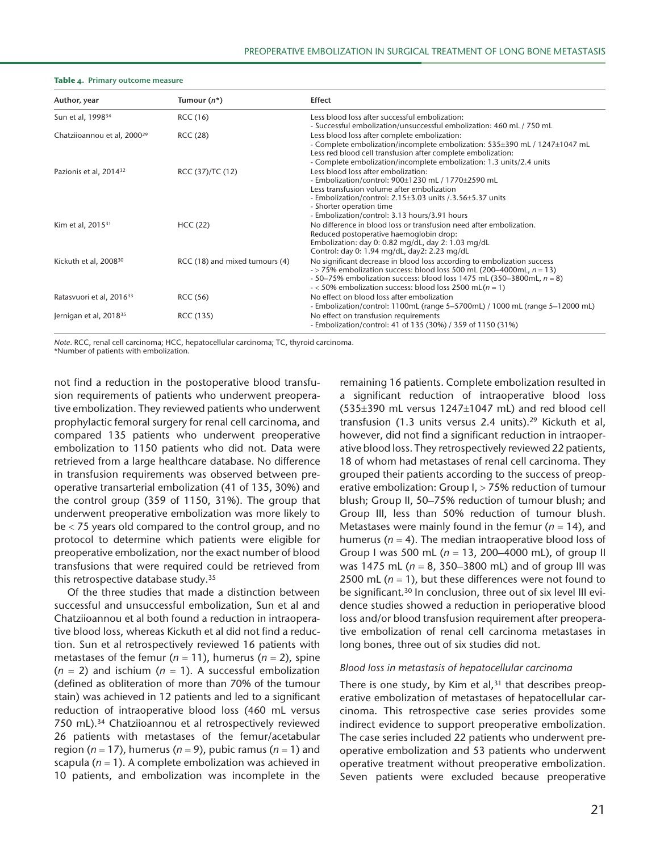#### **Table 4. Primary outcome measure**

| Author, year                            | Tumour $(n^*)$                 | <b>Effect</b>                                                                                                                                                                                                                                                                                     |
|-----------------------------------------|--------------------------------|---------------------------------------------------------------------------------------------------------------------------------------------------------------------------------------------------------------------------------------------------------------------------------------------------|
| Sun et al, 1998 <sup>34</sup>           | RCC (16)                       | Less blood loss after successful embolization:<br>- Successful embolization/unsuccessful embolization: 460 mL / 750 mL                                                                                                                                                                            |
| Chatziioannou et al, 2000 <sup>29</sup> | RCC (28)                       | Less blood loss after complete embolization:<br>- Complete embolization/incomplete embolization: 535±390 mL / 1247±1047 mL<br>Less red blood cell transfusion after complete embolization:<br>- Complete embolization/incomplete embolization: 1.3 units/2.4 units                                |
| Pazionis et al, 2014 <sup>32</sup>      | RCC (37)/TC (12)               | Less blood loss after embolization:<br>- Embolization/control: 900±1230 mL / 1770±2590 mL<br>Less transfusion volume after embolization<br>- Embolization/control: 2.15±3.03 units /.3.56±5.37 units<br>- Shorter operation time<br>- Embolization/control: 3.13 hours/3.91 hours                 |
| Kim et al, 2015 <sup>31</sup>           | HCC(22)                        | No difference in blood loss or transfusion need after embolization.<br>Reduced postoperative haemoglobin drop:<br>Embolization: day 0: 0.82 mg/dL, day 2: 1.03 mg/dL<br>Control: day 0: 1.94 mg/dL, day2: 2.23 mg/dL                                                                              |
| Kickuth et al, 2008 <sup>30</sup>       | RCC (18) and mixed tumours (4) | No significant decrease in blood loss according to embolization success<br>$-$ > 75% embolization success: blood loss 500 mL (200–4000mL, $n = 13$ )<br>- 50–75% embolization success: blood loss 1475 mL (350–3800mL, $n = 8$ )<br>$-$ < 50% embolization success: blood loss 2500 mL( $n = 1$ ) |
| Ratasvuori et al, 2016 <sup>33</sup>    | RCC (56)                       | No effect on blood loss after embolization<br>- Embolization/control: 1100mL (range 5-5700mL) / 1000 mL (range 5-12000 mL)                                                                                                                                                                        |
| Jernigan et al, 2018 <sup>35</sup>      | RCC (135)                      | No effect on transfusion requirements<br>- Embolization/control: 41 of 135 (30%) / 359 of 1150 (31%)                                                                                                                                                                                              |

*Note*. RCC, renal cell carcinoma; HCC, hepatocellular carcinoma; TC, thyroid carcinoma.

\*Number of patients with embolization.

not find a reduction in the postoperative blood transfusion requirements of patients who underwent preoperative embolization. They reviewed patients who underwent prophylactic femoral surgery for renal cell carcinoma, and compared 135 patients who underwent preoperative embolization to 1150 patients who did not. Data were retrieved from a large healthcare database. No difference in transfusion requirements was observed between preoperative transarterial embolization (41 of 135, 30%) and the control group (359 of 1150, 31%). The group that underwent preoperative embolization was more likely to be < 75 years old compared to the control group, and no protocol to determine which patients were eligible for preoperative embolization, nor the exact number of blood transfusions that were required could be retrieved from this retrospective database study.35

Of the three studies that made a distinction between successful and unsuccessful embolization, Sun et al and Chatziioannou et al both found a reduction in intraoperative blood loss, whereas Kickuth et al did not find a reduction. Sun et al retrospectively reviewed 16 patients with metastases of the femur ( $n = 11$ ), humerus ( $n = 2$ ), spine  $(n = 2)$  and ischium  $(n = 1)$ . A successful embolization (defined as obliteration of more than 70% of the tumour stain) was achieved in 12 patients and led to a significant reduction of intraoperative blood loss (460 mL versus 750 mL).34 Chatziioannou et al retrospectively reviewed 26 patients with metastases of the femur/acetabular region (*n* = 17), humerus (*n* = 9), pubic ramus (*n* = 1) and scapula (*n* = 1). A complete embolization was achieved in 10 patients, and embolization was incomplete in the

remaining 16 patients. Complete embolization resulted in a significant reduction of intraoperative blood loss (535±390 mL versus 1247±1047 mL) and red blood cell transfusion (1.3 units versus 2.4 units). $29$  Kickuth et al, however, did not find a significant reduction in intraoperative blood loss. They retrospectively reviewed 22 patients, 18 of whom had metastases of renal cell carcinoma. They grouped their patients according to the success of preoperative embolization: Group I, > 75% reduction of tumour blush; Group II, 50–75% reduction of tumour blush; and Group III, less than 50% reduction of tumour blush. Metastases were mainly found in the femur ( $n = 14$ ), and humerus (*n* = 4). The median intraoperative blood loss of Group I was 500 mL (*n* = 13, 200–4000 mL), of group II was 1475 mL (*n* = 8, 350–3800 mL) and of group III was 2500 mL (*n* = 1), but these differences were not found to be significant.30 In conclusion, three out of six level III evidence studies showed a reduction in perioperative blood loss and/or blood transfusion requirement after preoperative embolization of renal cell carcinoma metastases in long bones, three out of six studies did not.

#### *Blood loss in metastasis of hepatocellular carcinoma*

There is one study, by Kim et al, $31$  that describes preoperative embolization of metastases of hepatocellular carcinoma. This retrospective case series provides some indirect evidence to support preoperative embolization. The case series included 22 patients who underwent preoperative embolization and 53 patients who underwent operative treatment without preoperative embolization. Seven patients were excluded because preoperative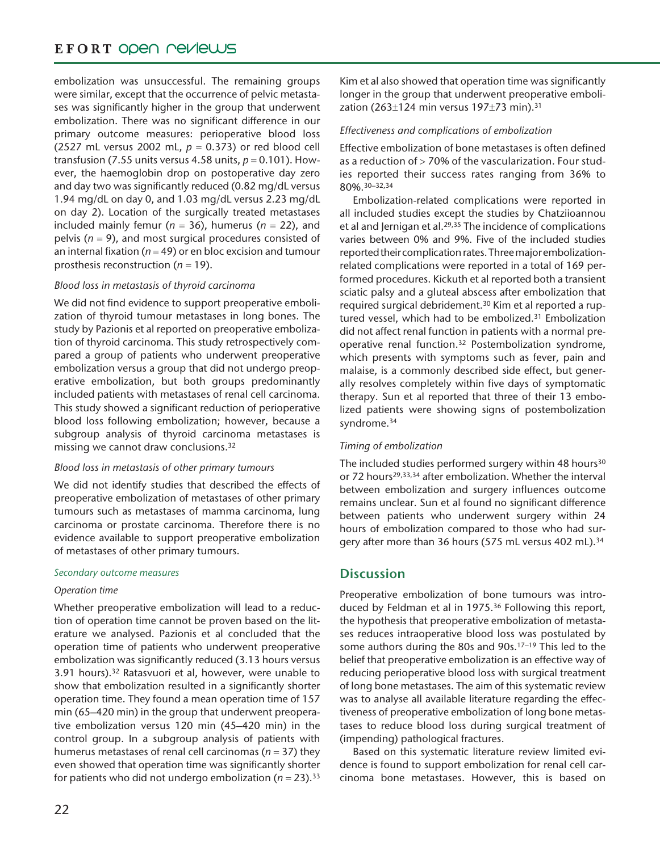## EFORT OPEN PEVIEWS

embolization was unsuccessful. The remaining groups were similar, except that the occurrence of pelvic metastases was significantly higher in the group that underwent embolization. There was no significant difference in our primary outcome measures: perioperative blood loss (2527 mL versus 2002 mL, *p* = 0.373) or red blood cell transfusion (7.55 units versus 4.58 units,  $p = 0.101$ ). However, the haemoglobin drop on postoperative day zero and day two was significantly reduced (0.82 mg/dL versus 1.94 mg/dL on day 0, and 1.03 mg/dL versus 2.23 mg/dL on day 2). Location of the surgically treated metastases included mainly femur ( $n = 36$ ), humerus ( $n = 22$ ), and pelvis (*n* = 9), and most surgical procedures consisted of an internal fixation (*n* = 49) or en bloc excision and tumour prosthesis reconstruction (*n* = 19).

## *Blood loss in metastasis of thyroid carcinoma*

We did not find evidence to support preoperative embolization of thyroid tumour metastases in long bones. The study by Pazionis et al reported on preoperative embolization of thyroid carcinoma. This study retrospectively compared a group of patients who underwent preoperative embolization versus a group that did not undergo preoperative embolization, but both groups predominantly included patients with metastases of renal cell carcinoma. This study showed a significant reduction of perioperative blood loss following embolization; however, because a subgroup analysis of thyroid carcinoma metastases is missing we cannot draw conclusions.32

## *Blood loss in metastasis of other primary tumours*

We did not identify studies that described the effects of preoperative embolization of metastases of other primary tumours such as metastases of mamma carcinoma, lung carcinoma or prostate carcinoma. Therefore there is no evidence available to support preoperative embolization of metastases of other primary tumours.

## *Secondary outcome measures*

## *Operation time*

Whether preoperative embolization will lead to a reduction of operation time cannot be proven based on the literature we analysed. Pazionis et al concluded that the operation time of patients who underwent preoperative embolization was significantly reduced (3.13 hours versus 3.91 hours).32 Ratasvuori et al, however, were unable to show that embolization resulted in a significantly shorter operation time. They found a mean operation time of 157 min (65–420 min) in the group that underwent preoperative embolization versus 120 min (45–420 min) in the control group. In a subgroup analysis of patients with humerus metastases of renal cell carcinomas (*n* = 37) they even showed that operation time was significantly shorter for patients who did not undergo embolization ( $n = 23$ ).<sup>33</sup>

Kim et al also showed that operation time was significantly longer in the group that underwent preoperative embolization (263±124 min versus 197±73 min).31

## *Effectiveness and complications of embolization*

Effective embolization of bone metastases is often defined as a reduction of  $>$  70% of the vascularization. Four studies reported their success rates ranging from 36% to 80%.30–32,34

Embolization-related complications were reported in all included studies except the studies by Chatziioannou et al and Jernigan et al.<sup>29,35</sup> The incidence of complications varies between 0% and 9%. Five of the included studies reported their complication rates. Three major embolizationrelated complications were reported in a total of 169 performed procedures. Kickuth et al reported both a transient sciatic palsy and a gluteal abscess after embolization that required surgical debridement.30 Kim et al reported a ruptured vessel, which had to be embolized.<sup>31</sup> Embolization did not affect renal function in patients with a normal preoperative renal function.32 Postembolization syndrome, which presents with symptoms such as fever, pain and malaise, is a commonly described side effect, but generally resolves completely within five days of symptomatic therapy. Sun et al reported that three of their 13 embolized patients were showing signs of postembolization syndrome.34

## *Timing of embolization*

The included studies performed surgery within 48 hours<sup>30</sup> or 72 hours<sup>29,33,34</sup> after embolization. Whether the interval between embolization and surgery influences outcome remains unclear. Sun et al found no significant difference between patients who underwent surgery within 24 hours of embolization compared to those who had surgery after more than 36 hours (575 mL versus 402 mL).<sup>34</sup>

## **Discussion**

Preoperative embolization of bone tumours was introduced by Feldman et al in 1975.36 Following this report, the hypothesis that preoperative embolization of metastases reduces intraoperative blood loss was postulated by some authors during the 80s and 90s.<sup>17-19</sup> This led to the belief that preoperative embolization is an effective way of reducing perioperative blood loss with surgical treatment of long bone metastases. The aim of this systematic review was to analyse all available literature regarding the effectiveness of preoperative embolization of long bone metastases to reduce blood loss during surgical treatment of (impending) pathological fractures.

Based on this systematic literature review limited evidence is found to support embolization for renal cell carcinoma bone metastases. However, this is based on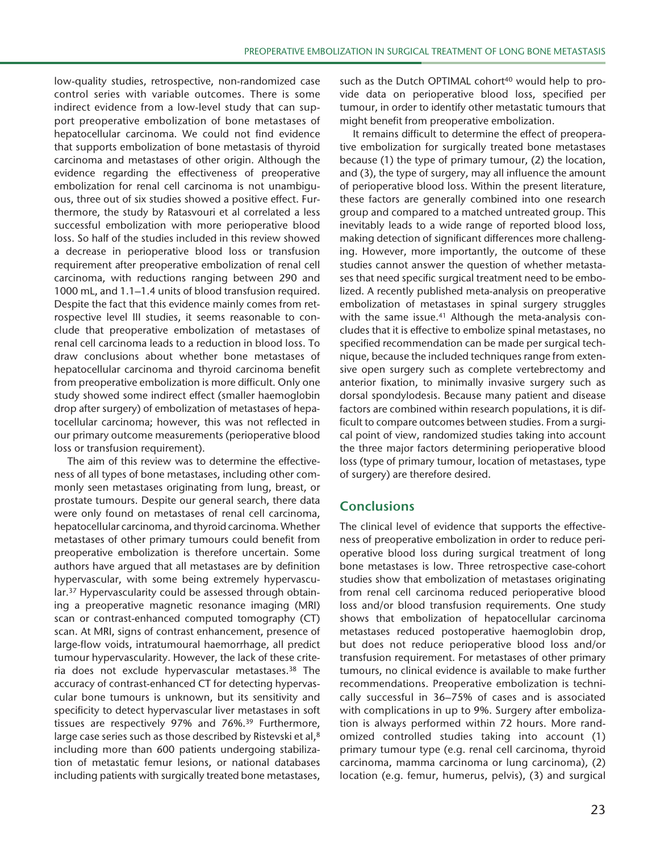low-quality studies, retrospective, non-randomized case control series with variable outcomes. There is some indirect evidence from a low-level study that can support preoperative embolization of bone metastases of hepatocellular carcinoma. We could not find evidence that supports embolization of bone metastasis of thyroid carcinoma and metastases of other origin. Although the evidence regarding the effectiveness of preoperative embolization for renal cell carcinoma is not unambiguous, three out of six studies showed a positive effect. Furthermore, the study by Ratasvouri et al correlated a less successful embolization with more perioperative blood loss. So half of the studies included in this review showed a decrease in perioperative blood loss or transfusion requirement after preoperative embolization of renal cell carcinoma, with reductions ranging between 290 and 1000 mL, and 1.1–1.4 units of blood transfusion required. Despite the fact that this evidence mainly comes from retrospective level III studies, it seems reasonable to conclude that preoperative embolization of metastases of renal cell carcinoma leads to a reduction in blood loss. To draw conclusions about whether bone metastases of hepatocellular carcinoma and thyroid carcinoma benefit from preoperative embolization is more difficult. Only one study showed some indirect effect (smaller haemoglobin drop after surgery) of embolization of metastases of hepatocellular carcinoma; however, this was not reflected in our primary outcome measurements (perioperative blood loss or transfusion requirement).

The aim of this review was to determine the effectiveness of all types of bone metastases, including other commonly seen metastases originating from lung, breast, or prostate tumours. Despite our general search, there data were only found on metastases of renal cell carcinoma, hepatocellular carcinoma, and thyroid carcinoma. Whether metastases of other primary tumours could benefit from preoperative embolization is therefore uncertain. Some authors have argued that all metastases are by definition hypervascular, with some being extremely hypervascular.37 Hypervascularity could be assessed through obtaining a preoperative magnetic resonance imaging (MRI) scan or contrast-enhanced computed tomography (CT) scan. At MRI, signs of contrast enhancement, presence of large-flow voids, intratumoural haemorrhage, all predict tumour hypervascularity. However, the lack of these criteria does not exclude hypervascular metastases.38 The accuracy of contrast-enhanced CT for detecting hypervascular bone tumours is unknown, but its sensitivity and specificity to detect hypervascular liver metastases in soft tissues are respectively 97% and 76%.39 Furthermore, large case series such as those described by Ristevski et al,<sup>8</sup> including more than 600 patients undergoing stabilization of metastatic femur lesions, or national databases including patients with surgically treated bone metastases,

such as the Dutch OPTIMAL cohort<sup>40</sup> would help to provide data on perioperative blood loss, specified per tumour, in order to identify other metastatic tumours that might benefit from preoperative embolization.

It remains difficult to determine the effect of preoperative embolization for surgically treated bone metastases because (1) the type of primary tumour, (2) the location, and (3), the type of surgery, may all influence the amount of perioperative blood loss. Within the present literature, these factors are generally combined into one research group and compared to a matched untreated group. This inevitably leads to a wide range of reported blood loss, making detection of significant differences more challenging. However, more importantly, the outcome of these studies cannot answer the question of whether metastases that need specific surgical treatment need to be embolized. A recently published meta-analysis on preoperative embolization of metastases in spinal surgery struggles with the same issue.<sup>41</sup> Although the meta-analysis concludes that it is effective to embolize spinal metastases, no specified recommendation can be made per surgical technique, because the included techniques range from extensive open surgery such as complete vertebrectomy and anterior fixation, to minimally invasive surgery such as dorsal spondylodesis. Because many patient and disease factors are combined within research populations, it is difficult to compare outcomes between studies. From a surgical point of view, randomized studies taking into account the three major factors determining perioperative blood loss (type of primary tumour, location of metastases, type of surgery) are therefore desired.

## **Conclusions**

The clinical level of evidence that supports the effectiveness of preoperative embolization in order to reduce perioperative blood loss during surgical treatment of long bone metastases is low. Three retrospective case-cohort studies show that embolization of metastases originating from renal cell carcinoma reduced perioperative blood loss and/or blood transfusion requirements. One study shows that embolization of hepatocellular carcinoma metastases reduced postoperative haemoglobin drop, but does not reduce perioperative blood loss and/or transfusion requirement. For metastases of other primary tumours, no clinical evidence is available to make further recommendations. Preoperative embolization is technically successful in 36–75% of cases and is associated with complications in up to 9%. Surgery after embolization is always performed within 72 hours. More randomized controlled studies taking into account (1) primary tumour type (e.g. renal cell carcinoma, thyroid carcinoma, mamma carcinoma or lung carcinoma), (2) location (e.g. femur, humerus, pelvis), (3) and surgical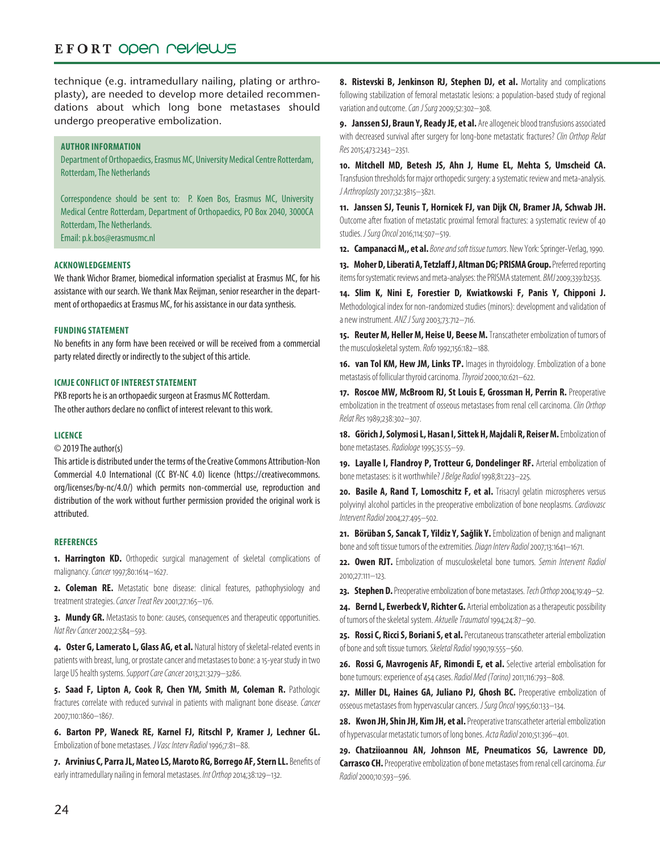## EFORT OPEN PEVIEWS

technique (e.g. intramedullary nailing, plating or arthroplasty), are needed to develop more detailed recommendations about which long bone metastases should undergo preoperative embolization.

## **Author Information**

Department of Orthopaedics, Erasmus MC, University Medical Centre Rotterdam, Rotterdam, The Netherlands

Correspondence should be sent to: P. Koen Bos, Erasmus MC, University Medical Centre Rotterdam, Department of Orthopaedics, PO Box 2040, 3000CA Rotterdam, The Netherlands. Email: p.k.bos@erasmusmc.nl

**Acknowledgements**

We thank Wichor Bramer, biomedical information specialist at Erasmus MC, for his assistance with our search. We thank Max Reijman, senior researcher in the department of orthopaedics at Erasmus MC, for his assistance in our data synthesis.

### **Funding statement**

No benefits in any form have been received or will be received from a commercial party related directly or indirectly to the subject of this article.

#### **ICMJE CONFLICT OF INTEREST STATEMENT**

PKB reports he is an orthopaedic surgeon at Erasmus MC Rotterdam. The other authors declare no conflict of interest relevant to this work.

#### **Licence**

© 2019 The author(s)

This article is distributed under the terms of the Creative Commons Attribution-Non Commercial 4.0 International (CC BY-NC 4.0) licence (https://creativecommons. org/licenses/by-nc/4.0/) which permits non-commercial use, reproduction and distribution of the work without further permission provided the original work is attributed.

#### **References**

**1. Harrington KD.** Orthopedic surgical management of skeletal complications of malignancy. *Cancer* 1997;80:1614–1627.

2. Coleman RE. Metastatic bone disease: clinical features, pathophysiology and treatment strategies. *Cancer Treat Rev* 2001;27:165–176.

**3. Mundy GR.** Metastasis to bone: causes, consequences and therapeutic opportunities. *Nat Rev Cancer* 2002;2:584–593.

**4. Oster G, Lamerato L, Glass AG, et al.** Natural history of skeletal-related events in patients with breast, lung, or prostate cancer and metastases to bone: a 15-year study in two large US health systems. *Support Care Cancer* 2013;21:3279–3286.

**5. Saad F, Lipton A, Cook R, Chen YM, Smith M, Coleman R.** Pathologic fractures correlate with reduced survival in patients with malignant bone disease. *Cancer* 2007;110:1860–1867.

**6. Barton PP, Waneck RE, Karnel FJ, Ritschl P, Kramer J, Lechner GL.** Embolization of bone metastases. *J Vasc Interv Radiol* 1996;7:81–88.

**7. Arvinius C, Parra JL, Mateo LS, Maroto RG, Borrego AF, Stern LL.** Benefits of early intramedullary nailing in femoral metastases. *Int Orthop* 2014;38:129–132.

8. Ristevski B, Jenkinson RJ, Stephen DJ, et al. Mortality and complications following stabilization of femoral metastatic lesions: a population-based study of regional variation and outcome. *Can J Surg* 2009;52:302–308.

**9. Janssen SJ, Braun Y, Ready JE, et al.** Are allogeneic blood transfusions associated with decreased survival after surgery for long-bone metastatic fractures? *Clin Orthop Relat Res* 2015;473:2343–2351.

**10. Mitchell MD, Betesh JS, Ahn J, Hume EL, Mehta S, Umscheid CA.** Transfusion thresholds for major orthopedic surgery: a systematic review and meta-analysis. *J Arthroplasty* 2017;32:3815–3821.

**11. Janssen SJ, Teunis T, Hornicek FJ, van Dijk CN, Bramer JA, Schwab JH.** Outcome after fixation of metastatic proximal femoral fractures: a systematic review of 40 studies. *J Surg Oncol* 2016;114:507–519.

**12. Campanacci M,, et al.***Bone and soft tissue tumors*. New York: Springer-Verlag, 1990.

**13. Moher D, Liberati A, Tetzlaff J, Altman DG; PRISMA Group.** Preferred reporting items for systematic reviews and meta-analyses: the PRISMA statement. *BMJ* 2009;339:b2535.

**14. Slim K, Nini E, Forestier D, Kwiatkowski F, Panis Y, Chipponi J.** Methodological index for non-randomized studies (minors): development and validation of a new instrument. *ANZ J Surg* 2003;73:712–716.

**15. Reuter M, Heller M, Heise U, Beese M.** Transcatheter embolization of tumors of the musculoskeletal system. *Rofo* 1992;156:182–188.

**16. van Tol KM, Hew JM, Links TP.** Images in thyroidology. Embolization of a bone metastasis of follicular thyroid carcinoma. *Thyroid* 2000;10:621–622.

**17. Roscoe MW, McBroom RJ, St Louis E, Grossman H, Perrin R.** Preoperative embolization in the treatment of osseous metastases from renal cell carcinoma. *Clin Orthop Relat Res* 1989;238:302–307.

**18. Görich J, Solymosi L, Hasan I, Sittek H, Majdali R, Reiser M.** Embolization of bone metastases. *Radiologe* 1995;35:55–59.

**19. Layalle I, Flandroy P, Trotteur G, Dondelinger RF.** Arterial embolization of bone metastases: is it worthwhile? *J Belge Radiol* 1998;81:223–225.

**20. Basile A, Rand T, Lomoschitz F, et al.** Trisacryl gelatin microspheres versus polyvinyl alcohol particles in the preoperative embolization of bone neoplasms. *Cardiovasc Intervent Radiol* 2004;27:495–502.

**21. Börüban S, Sancak T, Yildiz Y, Sağlik Y.** Embolization of benign and malignant bone and soft tissue tumors of the extremities. *Diagn Interv Radiol* 2007;13:1641–1671.

**22. Owen RJT.** Embolization of musculoskeletal bone tumors. *Semin Intervent Radiol* 2010;27:111–123.

**23. Stephen D.** Preoperative embolization of bone metastases. *Tech Orthop* 2004;19:49–52.

**24. Bernd L, Ewerbeck V, Richter G.** Arterial embolization as a therapeutic possibility of tumors of the skeletal system. *Aktuelle Traumatol* 1994;24:87–90.

**25. Rossi C, Ricci S, Boriani S, et al.** Percutaneous transcatheter arterial embolization of bone and soft tissue tumors. *Skeletal Radiol* 1990;19:555–560.

**26. Rossi G, Mavrogenis AF, Rimondi E, et al.** Selective arterial embolisation for bone tumours: experience of 454 cases. *Radiol Med (Torino)* 2011;116:793–808.

**27. Miller DL, Haines GA, Juliano PJ, Ghosh BC.** Preoperative embolization of osseous metastases from hypervascular cancers. *J Surg Oncol* 1995;60:133–134.

**28. Kwon JH, Shin JH, Kim JH, et al.** Preoperative transcatheter arterial embolization of hypervascular metastatic tumors of long bones. *Acta Radiol* 2010;51:396–401.

**29. Chatziioannou AN, Johnson ME, Pneumaticos SG, Lawrence DD, Carrasco CH.** Preoperative embolization of bone metastases from renal cell carcinoma. *Eur Radiol* 2000;10:593–596.